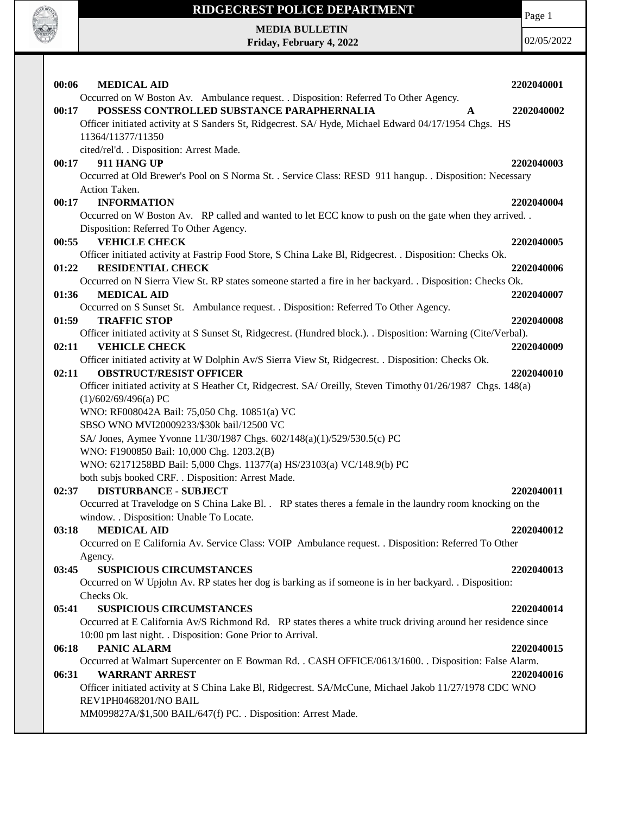

Page 1

**MEDIA BULLETIN Friday, February 4, 2022**

| 00:06<br><b>MEDICAL AID</b>                                                                                                                                                | 2202040001 |
|----------------------------------------------------------------------------------------------------------------------------------------------------------------------------|------------|
| Occurred on W Boston Av. Ambulance request. . Disposition: Referred To Other Agency.                                                                                       |            |
| POSSESS CONTROLLED SUBSTANCE PARAPHERNALIA<br>00:17<br>$\mathbf{A}$                                                                                                        | 2202040002 |
| Officer initiated activity at S Sanders St, Ridgecrest. SA/Hyde, Michael Edward 04/17/1954 Chgs. HS                                                                        |            |
| 11364/11377/11350                                                                                                                                                          |            |
| cited/rel'd. . Disposition: Arrest Made.                                                                                                                                   |            |
| 911 HANG UP<br>00:17                                                                                                                                                       | 2202040003 |
| Occurred at Old Brewer's Pool on S Norma St. . Service Class: RESD 911 hangup. . Disposition: Necessary                                                                    |            |
| Action Taken.                                                                                                                                                              |            |
| <b>INFORMATION</b><br>00:17                                                                                                                                                | 2202040004 |
| Occurred on W Boston Av. RP called and wanted to let ECC know to push on the gate when they arrived<br>Disposition: Referred To Other Agency.                              |            |
| <b>VEHICLE CHECK</b><br>00:55                                                                                                                                              | 2202040005 |
| Officer initiated activity at Fastrip Food Store, S China Lake Bl, Ridgecrest. . Disposition: Checks Ok.                                                                   |            |
| <b>RESIDENTIAL CHECK</b><br>01:22                                                                                                                                          | 2202040006 |
| Occurred on N Sierra View St. RP states someone started a fire in her backyard. . Disposition: Checks Ok.                                                                  |            |
| <b>MEDICAL AID</b><br>01:36                                                                                                                                                | 2202040007 |
| Occurred on S Sunset St. Ambulance request. . Disposition: Referred To Other Agency.                                                                                       |            |
| <b>TRAFFIC STOP</b><br>01:59                                                                                                                                               | 2202040008 |
| Officer initiated activity at S Sunset St, Ridgecrest. (Hundred block.). Disposition: Warning (Cite/Verbal).                                                               |            |
| <b>VEHICLE CHECK</b><br>02:11                                                                                                                                              | 2202040009 |
| Officer initiated activity at W Dolphin Av/S Sierra View St, Ridgecrest. . Disposition: Checks Ok.                                                                         |            |
| <b>OBSTRUCT/RESIST OFFICER</b><br>02:11                                                                                                                                    | 2202040010 |
| Officer initiated activity at S Heather Ct, Ridgecrest. SA/ Oreilly, Steven Timothy 01/26/1987 Chgs. 148(a)<br>(1)/602/69/496(a) PC                                        |            |
|                                                                                                                                                                            |            |
|                                                                                                                                                                            |            |
| WNO: RF008042A Bail: 75,050 Chg. 10851(a) VC                                                                                                                               |            |
| SBSO WNO MVI20009233/\$30k bail/12500 VC                                                                                                                                   |            |
| SA/ Jones, Aymee Yvonne 11/30/1987 Chgs. 602/148(a)(1)/529/530.5(c) PC                                                                                                     |            |
| WNO: F1900850 Bail: 10,000 Chg. 1203.2(B)                                                                                                                                  |            |
| WNO: 62171258BD Bail: 5,000 Chgs. 11377(a) HS/23103(a) VC/148.9(b) PC                                                                                                      |            |
| both subjs booked CRF. . Disposition: Arrest Made.<br>02:37<br><b>DISTURBANCE - SUBJECT</b>                                                                                | 2202040011 |
| Occurred at Travelodge on S China Lake Bl. . RP states theres a female in the laundry room knocking on the                                                                 |            |
| window. . Disposition: Unable To Locate.                                                                                                                                   |            |
| 03:18<br><b>MEDICAL AID</b>                                                                                                                                                | 2202040012 |
| Occurred on E California Av. Service Class: VOIP Ambulance request. . Disposition: Referred To Other                                                                       |            |
| Agency.                                                                                                                                                                    |            |
| <b>SUSPICIOUS CIRCUMSTANCES</b><br>03:45                                                                                                                                   | 2202040013 |
| Occurred on W Upjohn Av. RP states her dog is barking as if someone is in her backyard. . Disposition:                                                                     |            |
| Checks Ok.                                                                                                                                                                 |            |
| <b>SUSPICIOUS CIRCUMSTANCES</b><br>05:41                                                                                                                                   | 2202040014 |
| Occurred at E California Av/S Richmond Rd. RP states theres a white truck driving around her residence since<br>10:00 pm last night. . Disposition: Gone Prior to Arrival. |            |
| <b>PANIC ALARM</b><br>06:18                                                                                                                                                | 2202040015 |
| Occurred at Walmart Supercenter on E Bowman Rd. . CASH OFFICE/0613/1600. . Disposition: False Alarm.                                                                       |            |
| <b>WARRANT ARREST</b><br>06:31                                                                                                                                             | 2202040016 |
| Officer initiated activity at S China Lake Bl, Ridgecrest. SA/McCune, Michael Jakob 11/27/1978 CDC WNO                                                                     |            |
| REV1PH0468201/NO BAIL<br>MM099827A/\$1,500 BAIL/647(f) PC. . Disposition: Arrest Made.                                                                                     |            |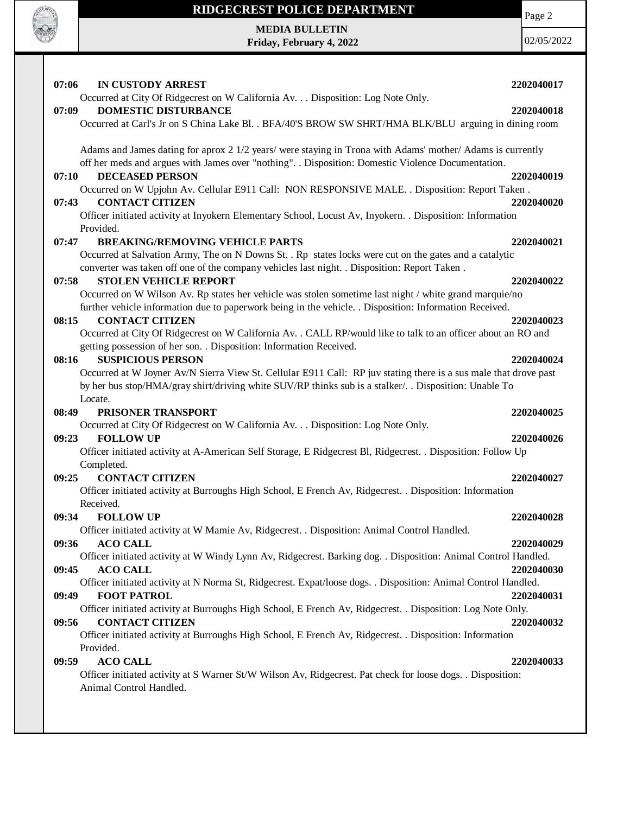

# **RIDGECREST POLICE DEPARTMENT MEDIA BULLETIN**

**Friday, February 4, 2022**

Page 2

| 07:06<br><b>IN CUSTODY ARREST</b>                                                                                                                                                    | 2202040017 |
|--------------------------------------------------------------------------------------------------------------------------------------------------------------------------------------|------------|
| Occurred at City Of Ridgecrest on W California Av. Disposition: Log Note Only.                                                                                                       |            |
| <b>DOMESTIC DISTURBANCE</b><br>07:09                                                                                                                                                 | 2202040018 |
| Occurred at Carl's Jr on S China Lake Bl. . BFA/40'S BROW SW SHRT/HMA BLK/BLU arguing in dining room                                                                                 |            |
| Adams and James dating for aprox 2 1/2 years/ were staying in Trona with Adams' mother/ Adams is currently                                                                           |            |
| off her meds and argues with James over "nothing". . Disposition: Domestic Violence Documentation.                                                                                   |            |
| <b>DECEASED PERSON</b><br>07:10                                                                                                                                                      | 2202040019 |
| Occurred on W Upjohn Av. Cellular E911 Call: NON RESPONSIVE MALE. . Disposition: Report Taken.                                                                                       |            |
| <b>CONTACT CITIZEN</b><br>07:43                                                                                                                                                      | 2202040020 |
| Officer initiated activity at Inyokern Elementary School, Locust Av, Inyokern. . Disposition: Information                                                                            |            |
| Provided.                                                                                                                                                                            |            |
| 07:47<br><b>BREAKING/REMOVING VEHICLE PARTS</b>                                                                                                                                      | 2202040021 |
| Occurred at Salvation Army, The on N Downs St. . Rp states locks were cut on the gates and a catalytic                                                                               |            |
| converter was taken off one of the company vehicles last night. . Disposition: Report Taken.                                                                                         |            |
| <b>STOLEN VEHICLE REPORT</b><br>07:58                                                                                                                                                | 2202040022 |
| Occurred on W Wilson Av. Rp states her vehicle was stolen sometime last night / white grand marquie/no                                                                               |            |
| further vehicle information due to paperwork being in the vehicle. . Disposition: Information Received.                                                                              |            |
| <b>CONTACT CITIZEN</b><br>08:15                                                                                                                                                      | 2202040023 |
| Occurred at City Of Ridgecrest on W California Av. . CALL RP/would like to talk to an officer about an RO and<br>getting possession of her son. . Disposition: Information Received. |            |
| <b>SUSPICIOUS PERSON</b><br>08:16                                                                                                                                                    | 2202040024 |
| Occurred at W Joyner Av/N Sierra View St. Cellular E911 Call: RP juv stating there is a sus male that drove past                                                                     |            |
| by her bus stop/HMA/gray shirt/driving white SUV/RP thinks sub is a stalker/. . Disposition: Unable To                                                                               |            |
| Locate.                                                                                                                                                                              |            |
|                                                                                                                                                                                      |            |
| PRISONER TRANSPORT<br>08:49                                                                                                                                                          | 2202040025 |
| Occurred at City Of Ridgecrest on W California Av. Disposition: Log Note Only.                                                                                                       |            |
| <b>FOLLOW UP</b><br>09:23                                                                                                                                                            | 2202040026 |
| Officer initiated activity at A-American Self Storage, E Ridgecrest Bl, Ridgecrest. . Disposition: Follow Up                                                                         |            |
| Completed.                                                                                                                                                                           |            |
| <b>CONTACT CITIZEN</b><br>09:25                                                                                                                                                      | 2202040027 |
| Officer initiated activity at Burroughs High School, E French Av, Ridgecrest. . Disposition: Information                                                                             |            |
| Received.                                                                                                                                                                            |            |
| <b>FOLLOW UP</b><br>09:34                                                                                                                                                            | 2202040028 |
| Officer initiated activity at W Mamie Av, Ridgecrest. . Disposition: Animal Control Handled.                                                                                         |            |
| 09:36<br><b>ACO CALL</b>                                                                                                                                                             | 2202040029 |
| Officer initiated activity at W Windy Lynn Av, Ridgecrest. Barking dog. . Disposition: Animal Control Handled.<br><b>ACO CALL</b><br>09:45                                           | 2202040030 |
| Officer initiated activity at N Norma St, Ridgecrest. Expat/loose dogs. . Disposition: Animal Control Handled.                                                                       |            |
| 09:49<br><b>FOOT PATROL</b>                                                                                                                                                          | 2202040031 |
| Officer initiated activity at Burroughs High School, E French Av, Ridgecrest. . Disposition: Log Note Only.                                                                          |            |
| <b>CONTACT CITIZEN</b><br>09:56                                                                                                                                                      | 2202040032 |
| Officer initiated activity at Burroughs High School, E French Av, Ridgecrest. . Disposition: Information                                                                             |            |
| Provided.                                                                                                                                                                            |            |
| <b>ACO CALL</b><br>09:59                                                                                                                                                             | 2202040033 |
| Officer initiated activity at S Warner St/W Wilson Av, Ridgecrest. Pat check for loose dogs. . Disposition:                                                                          |            |
| Animal Control Handled.                                                                                                                                                              |            |
|                                                                                                                                                                                      |            |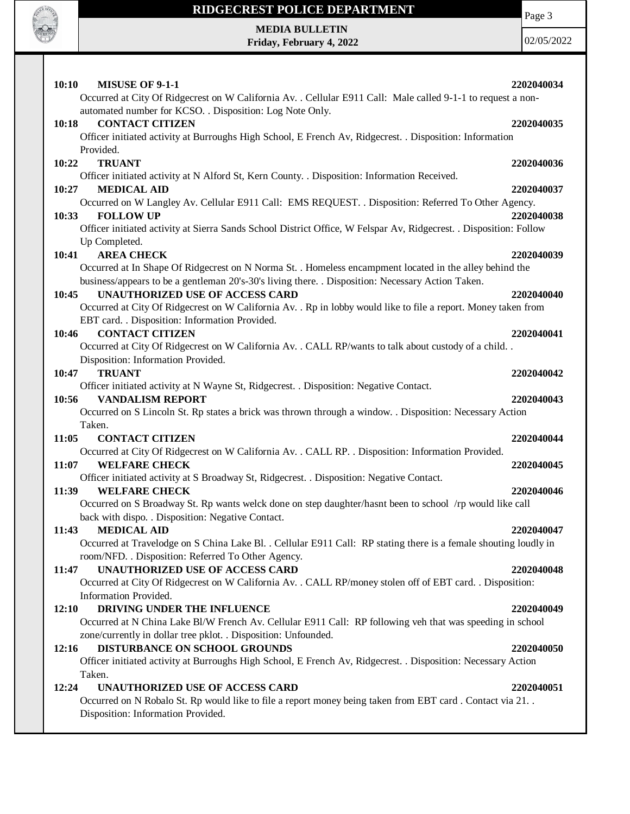

Page 3

**MEDIA BULLETIN Friday, February 4, 2022**

| 10:10<br><b>MISUSE OF 9-1-1</b>                                                                                                                                  | 2202040034 |
|------------------------------------------------------------------------------------------------------------------------------------------------------------------|------------|
| Occurred at City Of Ridgecrest on W California Av. . Cellular E911 Call: Male called 9-1-1 to request a non-                                                     |            |
| automated number for KCSO. . Disposition: Log Note Only.<br><b>CONTACT CITIZEN</b><br>10:18                                                                      | 2202040035 |
| Officer initiated activity at Burroughs High School, E French Av, Ridgecrest. . Disposition: Information                                                         |            |
| Provided.                                                                                                                                                        |            |
| 10:22<br><b>TRUANT</b>                                                                                                                                           | 2202040036 |
| Officer initiated activity at N Alford St, Kern County. . Disposition: Information Received.                                                                     |            |
| <b>MEDICAL AID</b><br>10:27                                                                                                                                      | 2202040037 |
| Occurred on W Langley Av. Cellular E911 Call: EMS REQUEST. . Disposition: Referred To Other Agency.                                                              |            |
| 10:33<br><b>FOLLOW UP</b>                                                                                                                                        | 2202040038 |
| Officer initiated activity at Sierra Sands School District Office, W Felspar Av, Ridgecrest. . Disposition: Follow                                               |            |
| Up Completed.                                                                                                                                                    |            |
| 10:41<br><b>AREA CHECK</b>                                                                                                                                       | 2202040039 |
| Occurred at In Shape Of Ridgecrest on N Norma St. . Homeless encampment located in the alley behind the                                                          |            |
| business/appears to be a gentleman 20's-30's living there. . Disposition: Necessary Action Taken.                                                                |            |
| <b>UNAUTHORIZED USE OF ACCESS CARD</b><br>10:45                                                                                                                  | 2202040040 |
| Occurred at City Of Ridgecrest on W California Av. . Rp in lobby would like to file a report. Money taken from<br>EBT card. . Disposition: Information Provided. |            |
| <b>CONTACT CITIZEN</b><br>10:46                                                                                                                                  | 2202040041 |
| Occurred at City Of Ridgecrest on W California Av. . CALL RP/wants to talk about custody of a child. .                                                           |            |
| Disposition: Information Provided.                                                                                                                               |            |
| <b>TRUANT</b><br>10:47                                                                                                                                           | 2202040042 |
| Officer initiated activity at N Wayne St, Ridgecrest. . Disposition: Negative Contact.                                                                           |            |
| <b>VANDALISM REPORT</b><br>10:56                                                                                                                                 | 2202040043 |
| Occurred on S Lincoln St. Rp states a brick was thrown through a window. . Disposition: Necessary Action                                                         |            |
| Taken.                                                                                                                                                           |            |
| <b>CONTACT CITIZEN</b><br>11:05                                                                                                                                  | 2202040044 |
| Occurred at City Of Ridgecrest on W California Av. . CALL RP. . Disposition: Information Provided.                                                               |            |
| 11:07<br><b>WELFARE CHECK</b>                                                                                                                                    | 2202040045 |
| Officer initiated activity at S Broadway St, Ridgecrest. . Disposition: Negative Contact.                                                                        |            |
| <b>WELFARE CHECK</b><br>11:39                                                                                                                                    | 2202040046 |
| Occurred on S Broadway St. Rp wants welck done on step daughter/hasnt been to school /rp would like call                                                         |            |
| back with dispo. . Disposition: Negative Contact.                                                                                                                |            |
| <b>MEDICAL AID</b><br>11:43                                                                                                                                      | 2202040047 |
| Occurred at Travelodge on S China Lake Bl. . Cellular E911 Call: RP stating there is a female shouting loudly in                                                 |            |
| room/NFD. . Disposition: Referred To Other Agency.                                                                                                               |            |
| <b>UNAUTHORIZED USE OF ACCESS CARD</b><br>11:47                                                                                                                  | 2202040048 |
| Occurred at City Of Ridgecrest on W California Av. . CALL RP/money stolen off of EBT card. . Disposition:                                                        |            |
| Information Provided.                                                                                                                                            |            |
| 12:10<br>DRIVING UNDER THE INFLUENCE                                                                                                                             | 2202040049 |
| Occurred at N China Lake Bl/W French Av. Cellular E911 Call: RP following veh that was speeding in school                                                        |            |
| zone/currently in dollar tree pklot. . Disposition: Unfounded.<br>DISTURBANCE ON SCHOOL GROUNDS                                                                  |            |
| 12:16<br>Officer initiated activity at Burroughs High School, E French Av, Ridgecrest. . Disposition: Necessary Action                                           | 2202040050 |
| Taken.                                                                                                                                                           |            |
| 12:24<br>UNAUTHORIZED USE OF ACCESS CARD                                                                                                                         | 2202040051 |
|                                                                                                                                                                  |            |
|                                                                                                                                                                  |            |
| Occurred on N Robalo St. Rp would like to file a report money being taken from EBT card . Contact via 21. .<br>Disposition: Information Provided.                |            |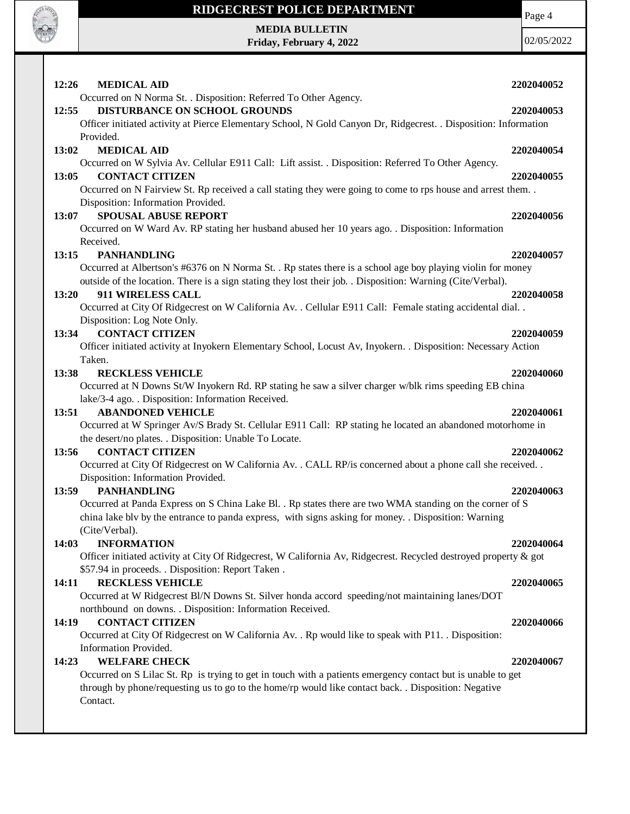

**MEDIA BULLETIN Friday, February 4, 2022** Page 4

| 12:26<br><b>MEDICAL AID</b><br>2202040052<br>Occurred on N Norma St. . Disposition: Referred To Other Agency.<br>DISTURBANCE ON SCHOOL GROUNDS<br>12:55<br>2202040053<br>Officer initiated activity at Pierce Elementary School, N Gold Canyon Dr, Ridgecrest. . Disposition: Information<br>Provided.<br><b>MEDICAL AID</b><br>13:02<br>2202040054<br>Occurred on W Sylvia Av. Cellular E911 Call: Lift assist. . Disposition: Referred To Other Agency.<br><b>CONTACT CITIZEN</b><br>13:05<br>2202040055<br>Occurred on N Fairview St. Rp received a call stating they were going to come to rps house and arrest them<br>Disposition: Information Provided.<br><b>SPOUSAL ABUSE REPORT</b><br>13:07<br>2202040056<br>Occurred on W Ward Av. RP stating her husband abused her 10 years ago. . Disposition: Information<br>Received.<br><b>PANHANDLING</b><br>13:15<br>2202040057<br>Occurred at Albertson's #6376 on N Norma St. . Rp states there is a school age boy playing violin for money<br>outside of the location. There is a sign stating they lost their job. . Disposition: Warning (Cite/Verbal).<br>13:20<br>911 WIRELESS CALL<br>2202040058<br>Occurred at City Of Ridgecrest on W California Av. . Cellular E911 Call: Female stating accidental dial. .<br>Disposition: Log Note Only.<br><b>CONTACT CITIZEN</b><br>13:34<br>2202040059<br>Officer initiated activity at Inyokern Elementary School, Locust Av, Inyokern. . Disposition: Necessary Action<br>Taken.<br><b>RECKLESS VEHICLE</b><br>13:38<br>2202040060<br>Occurred at N Downs St/W Inyokern Rd. RP stating he saw a silver charger w/blk rims speeding EB china<br>lake/3-4 ago. . Disposition: Information Received.<br><b>ABANDONED VEHICLE</b><br>13:51<br>2202040061<br>Occurred at W Springer Av/S Brady St. Cellular E911 Call: RP stating he located an abandoned motorhome in<br>the desert/no plates. . Disposition: Unable To Locate.<br><b>CONTACT CITIZEN</b><br>13:56<br>2202040062<br>Occurred at City Of Ridgecrest on W California Av. . CALL RP/is concerned about a phone call she received. .<br>Disposition: Information Provided.<br><b>PANHANDLING</b><br>13:59<br>2202040063<br>Occurred at Panda Express on S China Lake Bl. . Rp states there are two WMA standing on the corner of S<br>china lake blv by the entrance to panda express, with signs asking for money. Disposition: Warning<br>(Cite/Verbal).<br><b>INFORMATION</b><br>14:03<br>2202040064<br>Officer initiated activity at City Of Ridgecrest, W California Av, Ridgecrest. Recycled destroyed property & got<br>\$57.94 in proceeds. . Disposition: Report Taken.<br><b>RECKLESS VEHICLE</b><br>14:11<br>2202040065<br>Occurred at W Ridgecrest Bl/N Downs St. Silver honda accord speeding/not maintaining lanes/DOT<br>northbound on downs. . Disposition: Information Received.<br><b>CONTACT CITIZEN</b><br>14:19<br>2202040066<br>Occurred at City Of Ridgecrest on W California Av. . Rp would like to speak with P11. . Disposition:<br>Information Provided.<br><b>WELFARE CHECK</b><br>14:23<br>2202040067<br>Occurred on S Lilac St. Rp is trying to get in touch with a patients emergency contact but is unable to get<br>through by phone/requesting us to go to the home/rp would like contact back. . Disposition: Negative<br>Contact. |  |
|--------------------------------------------------------------------------------------------------------------------------------------------------------------------------------------------------------------------------------------------------------------------------------------------------------------------------------------------------------------------------------------------------------------------------------------------------------------------------------------------------------------------------------------------------------------------------------------------------------------------------------------------------------------------------------------------------------------------------------------------------------------------------------------------------------------------------------------------------------------------------------------------------------------------------------------------------------------------------------------------------------------------------------------------------------------------------------------------------------------------------------------------------------------------------------------------------------------------------------------------------------------------------------------------------------------------------------------------------------------------------------------------------------------------------------------------------------------------------------------------------------------------------------------------------------------------------------------------------------------------------------------------------------------------------------------------------------------------------------------------------------------------------------------------------------------------------------------------------------------------------------------------------------------------------------------------------------------------------------------------------------------------------------------------------------------------------------------------------------------------------------------------------------------------------------------------------------------------------------------------------------------------------------------------------------------------------------------------------------------------------------------------------------------------------------------------------------------------------------------------------------------------------------------------------------------------------------------------------------------------------------------------------------------------------------------------------------------------------------------------------------------------------------------------------------------------------------------------------------------------------------------------------------------------------------------------------------------------------------------------------------------------------------------------------------------------------------------------------------------------------------------------------------------------------------------------------------------------------------------------------------------------------------------------------------------------------------------|--|
|                                                                                                                                                                                                                                                                                                                                                                                                                                                                                                                                                                                                                                                                                                                                                                                                                                                                                                                                                                                                                                                                                                                                                                                                                                                                                                                                                                                                                                                                                                                                                                                                                                                                                                                                                                                                                                                                                                                                                                                                                                                                                                                                                                                                                                                                                                                                                                                                                                                                                                                                                                                                                                                                                                                                                                                                                                                                                                                                                                                                                                                                                                                                                                                                                                                                                                                                      |  |
|                                                                                                                                                                                                                                                                                                                                                                                                                                                                                                                                                                                                                                                                                                                                                                                                                                                                                                                                                                                                                                                                                                                                                                                                                                                                                                                                                                                                                                                                                                                                                                                                                                                                                                                                                                                                                                                                                                                                                                                                                                                                                                                                                                                                                                                                                                                                                                                                                                                                                                                                                                                                                                                                                                                                                                                                                                                                                                                                                                                                                                                                                                                                                                                                                                                                                                                                      |  |
|                                                                                                                                                                                                                                                                                                                                                                                                                                                                                                                                                                                                                                                                                                                                                                                                                                                                                                                                                                                                                                                                                                                                                                                                                                                                                                                                                                                                                                                                                                                                                                                                                                                                                                                                                                                                                                                                                                                                                                                                                                                                                                                                                                                                                                                                                                                                                                                                                                                                                                                                                                                                                                                                                                                                                                                                                                                                                                                                                                                                                                                                                                                                                                                                                                                                                                                                      |  |
|                                                                                                                                                                                                                                                                                                                                                                                                                                                                                                                                                                                                                                                                                                                                                                                                                                                                                                                                                                                                                                                                                                                                                                                                                                                                                                                                                                                                                                                                                                                                                                                                                                                                                                                                                                                                                                                                                                                                                                                                                                                                                                                                                                                                                                                                                                                                                                                                                                                                                                                                                                                                                                                                                                                                                                                                                                                                                                                                                                                                                                                                                                                                                                                                                                                                                                                                      |  |
|                                                                                                                                                                                                                                                                                                                                                                                                                                                                                                                                                                                                                                                                                                                                                                                                                                                                                                                                                                                                                                                                                                                                                                                                                                                                                                                                                                                                                                                                                                                                                                                                                                                                                                                                                                                                                                                                                                                                                                                                                                                                                                                                                                                                                                                                                                                                                                                                                                                                                                                                                                                                                                                                                                                                                                                                                                                                                                                                                                                                                                                                                                                                                                                                                                                                                                                                      |  |
|                                                                                                                                                                                                                                                                                                                                                                                                                                                                                                                                                                                                                                                                                                                                                                                                                                                                                                                                                                                                                                                                                                                                                                                                                                                                                                                                                                                                                                                                                                                                                                                                                                                                                                                                                                                                                                                                                                                                                                                                                                                                                                                                                                                                                                                                                                                                                                                                                                                                                                                                                                                                                                                                                                                                                                                                                                                                                                                                                                                                                                                                                                                                                                                                                                                                                                                                      |  |
|                                                                                                                                                                                                                                                                                                                                                                                                                                                                                                                                                                                                                                                                                                                                                                                                                                                                                                                                                                                                                                                                                                                                                                                                                                                                                                                                                                                                                                                                                                                                                                                                                                                                                                                                                                                                                                                                                                                                                                                                                                                                                                                                                                                                                                                                                                                                                                                                                                                                                                                                                                                                                                                                                                                                                                                                                                                                                                                                                                                                                                                                                                                                                                                                                                                                                                                                      |  |
|                                                                                                                                                                                                                                                                                                                                                                                                                                                                                                                                                                                                                                                                                                                                                                                                                                                                                                                                                                                                                                                                                                                                                                                                                                                                                                                                                                                                                                                                                                                                                                                                                                                                                                                                                                                                                                                                                                                                                                                                                                                                                                                                                                                                                                                                                                                                                                                                                                                                                                                                                                                                                                                                                                                                                                                                                                                                                                                                                                                                                                                                                                                                                                                                                                                                                                                                      |  |
|                                                                                                                                                                                                                                                                                                                                                                                                                                                                                                                                                                                                                                                                                                                                                                                                                                                                                                                                                                                                                                                                                                                                                                                                                                                                                                                                                                                                                                                                                                                                                                                                                                                                                                                                                                                                                                                                                                                                                                                                                                                                                                                                                                                                                                                                                                                                                                                                                                                                                                                                                                                                                                                                                                                                                                                                                                                                                                                                                                                                                                                                                                                                                                                                                                                                                                                                      |  |
|                                                                                                                                                                                                                                                                                                                                                                                                                                                                                                                                                                                                                                                                                                                                                                                                                                                                                                                                                                                                                                                                                                                                                                                                                                                                                                                                                                                                                                                                                                                                                                                                                                                                                                                                                                                                                                                                                                                                                                                                                                                                                                                                                                                                                                                                                                                                                                                                                                                                                                                                                                                                                                                                                                                                                                                                                                                                                                                                                                                                                                                                                                                                                                                                                                                                                                                                      |  |
|                                                                                                                                                                                                                                                                                                                                                                                                                                                                                                                                                                                                                                                                                                                                                                                                                                                                                                                                                                                                                                                                                                                                                                                                                                                                                                                                                                                                                                                                                                                                                                                                                                                                                                                                                                                                                                                                                                                                                                                                                                                                                                                                                                                                                                                                                                                                                                                                                                                                                                                                                                                                                                                                                                                                                                                                                                                                                                                                                                                                                                                                                                                                                                                                                                                                                                                                      |  |
|                                                                                                                                                                                                                                                                                                                                                                                                                                                                                                                                                                                                                                                                                                                                                                                                                                                                                                                                                                                                                                                                                                                                                                                                                                                                                                                                                                                                                                                                                                                                                                                                                                                                                                                                                                                                                                                                                                                                                                                                                                                                                                                                                                                                                                                                                                                                                                                                                                                                                                                                                                                                                                                                                                                                                                                                                                                                                                                                                                                                                                                                                                                                                                                                                                                                                                                                      |  |
|                                                                                                                                                                                                                                                                                                                                                                                                                                                                                                                                                                                                                                                                                                                                                                                                                                                                                                                                                                                                                                                                                                                                                                                                                                                                                                                                                                                                                                                                                                                                                                                                                                                                                                                                                                                                                                                                                                                                                                                                                                                                                                                                                                                                                                                                                                                                                                                                                                                                                                                                                                                                                                                                                                                                                                                                                                                                                                                                                                                                                                                                                                                                                                                                                                                                                                                                      |  |
|                                                                                                                                                                                                                                                                                                                                                                                                                                                                                                                                                                                                                                                                                                                                                                                                                                                                                                                                                                                                                                                                                                                                                                                                                                                                                                                                                                                                                                                                                                                                                                                                                                                                                                                                                                                                                                                                                                                                                                                                                                                                                                                                                                                                                                                                                                                                                                                                                                                                                                                                                                                                                                                                                                                                                                                                                                                                                                                                                                                                                                                                                                                                                                                                                                                                                                                                      |  |
|                                                                                                                                                                                                                                                                                                                                                                                                                                                                                                                                                                                                                                                                                                                                                                                                                                                                                                                                                                                                                                                                                                                                                                                                                                                                                                                                                                                                                                                                                                                                                                                                                                                                                                                                                                                                                                                                                                                                                                                                                                                                                                                                                                                                                                                                                                                                                                                                                                                                                                                                                                                                                                                                                                                                                                                                                                                                                                                                                                                                                                                                                                                                                                                                                                                                                                                                      |  |
|                                                                                                                                                                                                                                                                                                                                                                                                                                                                                                                                                                                                                                                                                                                                                                                                                                                                                                                                                                                                                                                                                                                                                                                                                                                                                                                                                                                                                                                                                                                                                                                                                                                                                                                                                                                                                                                                                                                                                                                                                                                                                                                                                                                                                                                                                                                                                                                                                                                                                                                                                                                                                                                                                                                                                                                                                                                                                                                                                                                                                                                                                                                                                                                                                                                                                                                                      |  |
|                                                                                                                                                                                                                                                                                                                                                                                                                                                                                                                                                                                                                                                                                                                                                                                                                                                                                                                                                                                                                                                                                                                                                                                                                                                                                                                                                                                                                                                                                                                                                                                                                                                                                                                                                                                                                                                                                                                                                                                                                                                                                                                                                                                                                                                                                                                                                                                                                                                                                                                                                                                                                                                                                                                                                                                                                                                                                                                                                                                                                                                                                                                                                                                                                                                                                                                                      |  |
|                                                                                                                                                                                                                                                                                                                                                                                                                                                                                                                                                                                                                                                                                                                                                                                                                                                                                                                                                                                                                                                                                                                                                                                                                                                                                                                                                                                                                                                                                                                                                                                                                                                                                                                                                                                                                                                                                                                                                                                                                                                                                                                                                                                                                                                                                                                                                                                                                                                                                                                                                                                                                                                                                                                                                                                                                                                                                                                                                                                                                                                                                                                                                                                                                                                                                                                                      |  |
|                                                                                                                                                                                                                                                                                                                                                                                                                                                                                                                                                                                                                                                                                                                                                                                                                                                                                                                                                                                                                                                                                                                                                                                                                                                                                                                                                                                                                                                                                                                                                                                                                                                                                                                                                                                                                                                                                                                                                                                                                                                                                                                                                                                                                                                                                                                                                                                                                                                                                                                                                                                                                                                                                                                                                                                                                                                                                                                                                                                                                                                                                                                                                                                                                                                                                                                                      |  |
|                                                                                                                                                                                                                                                                                                                                                                                                                                                                                                                                                                                                                                                                                                                                                                                                                                                                                                                                                                                                                                                                                                                                                                                                                                                                                                                                                                                                                                                                                                                                                                                                                                                                                                                                                                                                                                                                                                                                                                                                                                                                                                                                                                                                                                                                                                                                                                                                                                                                                                                                                                                                                                                                                                                                                                                                                                                                                                                                                                                                                                                                                                                                                                                                                                                                                                                                      |  |
|                                                                                                                                                                                                                                                                                                                                                                                                                                                                                                                                                                                                                                                                                                                                                                                                                                                                                                                                                                                                                                                                                                                                                                                                                                                                                                                                                                                                                                                                                                                                                                                                                                                                                                                                                                                                                                                                                                                                                                                                                                                                                                                                                                                                                                                                                                                                                                                                                                                                                                                                                                                                                                                                                                                                                                                                                                                                                                                                                                                                                                                                                                                                                                                                                                                                                                                                      |  |
|                                                                                                                                                                                                                                                                                                                                                                                                                                                                                                                                                                                                                                                                                                                                                                                                                                                                                                                                                                                                                                                                                                                                                                                                                                                                                                                                                                                                                                                                                                                                                                                                                                                                                                                                                                                                                                                                                                                                                                                                                                                                                                                                                                                                                                                                                                                                                                                                                                                                                                                                                                                                                                                                                                                                                                                                                                                                                                                                                                                                                                                                                                                                                                                                                                                                                                                                      |  |
|                                                                                                                                                                                                                                                                                                                                                                                                                                                                                                                                                                                                                                                                                                                                                                                                                                                                                                                                                                                                                                                                                                                                                                                                                                                                                                                                                                                                                                                                                                                                                                                                                                                                                                                                                                                                                                                                                                                                                                                                                                                                                                                                                                                                                                                                                                                                                                                                                                                                                                                                                                                                                                                                                                                                                                                                                                                                                                                                                                                                                                                                                                                                                                                                                                                                                                                                      |  |
|                                                                                                                                                                                                                                                                                                                                                                                                                                                                                                                                                                                                                                                                                                                                                                                                                                                                                                                                                                                                                                                                                                                                                                                                                                                                                                                                                                                                                                                                                                                                                                                                                                                                                                                                                                                                                                                                                                                                                                                                                                                                                                                                                                                                                                                                                                                                                                                                                                                                                                                                                                                                                                                                                                                                                                                                                                                                                                                                                                                                                                                                                                                                                                                                                                                                                                                                      |  |
|                                                                                                                                                                                                                                                                                                                                                                                                                                                                                                                                                                                                                                                                                                                                                                                                                                                                                                                                                                                                                                                                                                                                                                                                                                                                                                                                                                                                                                                                                                                                                                                                                                                                                                                                                                                                                                                                                                                                                                                                                                                                                                                                                                                                                                                                                                                                                                                                                                                                                                                                                                                                                                                                                                                                                                                                                                                                                                                                                                                                                                                                                                                                                                                                                                                                                                                                      |  |
|                                                                                                                                                                                                                                                                                                                                                                                                                                                                                                                                                                                                                                                                                                                                                                                                                                                                                                                                                                                                                                                                                                                                                                                                                                                                                                                                                                                                                                                                                                                                                                                                                                                                                                                                                                                                                                                                                                                                                                                                                                                                                                                                                                                                                                                                                                                                                                                                                                                                                                                                                                                                                                                                                                                                                                                                                                                                                                                                                                                                                                                                                                                                                                                                                                                                                                                                      |  |
|                                                                                                                                                                                                                                                                                                                                                                                                                                                                                                                                                                                                                                                                                                                                                                                                                                                                                                                                                                                                                                                                                                                                                                                                                                                                                                                                                                                                                                                                                                                                                                                                                                                                                                                                                                                                                                                                                                                                                                                                                                                                                                                                                                                                                                                                                                                                                                                                                                                                                                                                                                                                                                                                                                                                                                                                                                                                                                                                                                                                                                                                                                                                                                                                                                                                                                                                      |  |
|                                                                                                                                                                                                                                                                                                                                                                                                                                                                                                                                                                                                                                                                                                                                                                                                                                                                                                                                                                                                                                                                                                                                                                                                                                                                                                                                                                                                                                                                                                                                                                                                                                                                                                                                                                                                                                                                                                                                                                                                                                                                                                                                                                                                                                                                                                                                                                                                                                                                                                                                                                                                                                                                                                                                                                                                                                                                                                                                                                                                                                                                                                                                                                                                                                                                                                                                      |  |
|                                                                                                                                                                                                                                                                                                                                                                                                                                                                                                                                                                                                                                                                                                                                                                                                                                                                                                                                                                                                                                                                                                                                                                                                                                                                                                                                                                                                                                                                                                                                                                                                                                                                                                                                                                                                                                                                                                                                                                                                                                                                                                                                                                                                                                                                                                                                                                                                                                                                                                                                                                                                                                                                                                                                                                                                                                                                                                                                                                                                                                                                                                                                                                                                                                                                                                                                      |  |
|                                                                                                                                                                                                                                                                                                                                                                                                                                                                                                                                                                                                                                                                                                                                                                                                                                                                                                                                                                                                                                                                                                                                                                                                                                                                                                                                                                                                                                                                                                                                                                                                                                                                                                                                                                                                                                                                                                                                                                                                                                                                                                                                                                                                                                                                                                                                                                                                                                                                                                                                                                                                                                                                                                                                                                                                                                                                                                                                                                                                                                                                                                                                                                                                                                                                                                                                      |  |
|                                                                                                                                                                                                                                                                                                                                                                                                                                                                                                                                                                                                                                                                                                                                                                                                                                                                                                                                                                                                                                                                                                                                                                                                                                                                                                                                                                                                                                                                                                                                                                                                                                                                                                                                                                                                                                                                                                                                                                                                                                                                                                                                                                                                                                                                                                                                                                                                                                                                                                                                                                                                                                                                                                                                                                                                                                                                                                                                                                                                                                                                                                                                                                                                                                                                                                                                      |  |
|                                                                                                                                                                                                                                                                                                                                                                                                                                                                                                                                                                                                                                                                                                                                                                                                                                                                                                                                                                                                                                                                                                                                                                                                                                                                                                                                                                                                                                                                                                                                                                                                                                                                                                                                                                                                                                                                                                                                                                                                                                                                                                                                                                                                                                                                                                                                                                                                                                                                                                                                                                                                                                                                                                                                                                                                                                                                                                                                                                                                                                                                                                                                                                                                                                                                                                                                      |  |
|                                                                                                                                                                                                                                                                                                                                                                                                                                                                                                                                                                                                                                                                                                                                                                                                                                                                                                                                                                                                                                                                                                                                                                                                                                                                                                                                                                                                                                                                                                                                                                                                                                                                                                                                                                                                                                                                                                                                                                                                                                                                                                                                                                                                                                                                                                                                                                                                                                                                                                                                                                                                                                                                                                                                                                                                                                                                                                                                                                                                                                                                                                                                                                                                                                                                                                                                      |  |
|                                                                                                                                                                                                                                                                                                                                                                                                                                                                                                                                                                                                                                                                                                                                                                                                                                                                                                                                                                                                                                                                                                                                                                                                                                                                                                                                                                                                                                                                                                                                                                                                                                                                                                                                                                                                                                                                                                                                                                                                                                                                                                                                                                                                                                                                                                                                                                                                                                                                                                                                                                                                                                                                                                                                                                                                                                                                                                                                                                                                                                                                                                                                                                                                                                                                                                                                      |  |
|                                                                                                                                                                                                                                                                                                                                                                                                                                                                                                                                                                                                                                                                                                                                                                                                                                                                                                                                                                                                                                                                                                                                                                                                                                                                                                                                                                                                                                                                                                                                                                                                                                                                                                                                                                                                                                                                                                                                                                                                                                                                                                                                                                                                                                                                                                                                                                                                                                                                                                                                                                                                                                                                                                                                                                                                                                                                                                                                                                                                                                                                                                                                                                                                                                                                                                                                      |  |
|                                                                                                                                                                                                                                                                                                                                                                                                                                                                                                                                                                                                                                                                                                                                                                                                                                                                                                                                                                                                                                                                                                                                                                                                                                                                                                                                                                                                                                                                                                                                                                                                                                                                                                                                                                                                                                                                                                                                                                                                                                                                                                                                                                                                                                                                                                                                                                                                                                                                                                                                                                                                                                                                                                                                                                                                                                                                                                                                                                                                                                                                                                                                                                                                                                                                                                                                      |  |
|                                                                                                                                                                                                                                                                                                                                                                                                                                                                                                                                                                                                                                                                                                                                                                                                                                                                                                                                                                                                                                                                                                                                                                                                                                                                                                                                                                                                                                                                                                                                                                                                                                                                                                                                                                                                                                                                                                                                                                                                                                                                                                                                                                                                                                                                                                                                                                                                                                                                                                                                                                                                                                                                                                                                                                                                                                                                                                                                                                                                                                                                                                                                                                                                                                                                                                                                      |  |
|                                                                                                                                                                                                                                                                                                                                                                                                                                                                                                                                                                                                                                                                                                                                                                                                                                                                                                                                                                                                                                                                                                                                                                                                                                                                                                                                                                                                                                                                                                                                                                                                                                                                                                                                                                                                                                                                                                                                                                                                                                                                                                                                                                                                                                                                                                                                                                                                                                                                                                                                                                                                                                                                                                                                                                                                                                                                                                                                                                                                                                                                                                                                                                                                                                                                                                                                      |  |
|                                                                                                                                                                                                                                                                                                                                                                                                                                                                                                                                                                                                                                                                                                                                                                                                                                                                                                                                                                                                                                                                                                                                                                                                                                                                                                                                                                                                                                                                                                                                                                                                                                                                                                                                                                                                                                                                                                                                                                                                                                                                                                                                                                                                                                                                                                                                                                                                                                                                                                                                                                                                                                                                                                                                                                                                                                                                                                                                                                                                                                                                                                                                                                                                                                                                                                                                      |  |
|                                                                                                                                                                                                                                                                                                                                                                                                                                                                                                                                                                                                                                                                                                                                                                                                                                                                                                                                                                                                                                                                                                                                                                                                                                                                                                                                                                                                                                                                                                                                                                                                                                                                                                                                                                                                                                                                                                                                                                                                                                                                                                                                                                                                                                                                                                                                                                                                                                                                                                                                                                                                                                                                                                                                                                                                                                                                                                                                                                                                                                                                                                                                                                                                                                                                                                                                      |  |
|                                                                                                                                                                                                                                                                                                                                                                                                                                                                                                                                                                                                                                                                                                                                                                                                                                                                                                                                                                                                                                                                                                                                                                                                                                                                                                                                                                                                                                                                                                                                                                                                                                                                                                                                                                                                                                                                                                                                                                                                                                                                                                                                                                                                                                                                                                                                                                                                                                                                                                                                                                                                                                                                                                                                                                                                                                                                                                                                                                                                                                                                                                                                                                                                                                                                                                                                      |  |
|                                                                                                                                                                                                                                                                                                                                                                                                                                                                                                                                                                                                                                                                                                                                                                                                                                                                                                                                                                                                                                                                                                                                                                                                                                                                                                                                                                                                                                                                                                                                                                                                                                                                                                                                                                                                                                                                                                                                                                                                                                                                                                                                                                                                                                                                                                                                                                                                                                                                                                                                                                                                                                                                                                                                                                                                                                                                                                                                                                                                                                                                                                                                                                                                                                                                                                                                      |  |
|                                                                                                                                                                                                                                                                                                                                                                                                                                                                                                                                                                                                                                                                                                                                                                                                                                                                                                                                                                                                                                                                                                                                                                                                                                                                                                                                                                                                                                                                                                                                                                                                                                                                                                                                                                                                                                                                                                                                                                                                                                                                                                                                                                                                                                                                                                                                                                                                                                                                                                                                                                                                                                                                                                                                                                                                                                                                                                                                                                                                                                                                                                                                                                                                                                                                                                                                      |  |
|                                                                                                                                                                                                                                                                                                                                                                                                                                                                                                                                                                                                                                                                                                                                                                                                                                                                                                                                                                                                                                                                                                                                                                                                                                                                                                                                                                                                                                                                                                                                                                                                                                                                                                                                                                                                                                                                                                                                                                                                                                                                                                                                                                                                                                                                                                                                                                                                                                                                                                                                                                                                                                                                                                                                                                                                                                                                                                                                                                                                                                                                                                                                                                                                                                                                                                                                      |  |
|                                                                                                                                                                                                                                                                                                                                                                                                                                                                                                                                                                                                                                                                                                                                                                                                                                                                                                                                                                                                                                                                                                                                                                                                                                                                                                                                                                                                                                                                                                                                                                                                                                                                                                                                                                                                                                                                                                                                                                                                                                                                                                                                                                                                                                                                                                                                                                                                                                                                                                                                                                                                                                                                                                                                                                                                                                                                                                                                                                                                                                                                                                                                                                                                                                                                                                                                      |  |
|                                                                                                                                                                                                                                                                                                                                                                                                                                                                                                                                                                                                                                                                                                                                                                                                                                                                                                                                                                                                                                                                                                                                                                                                                                                                                                                                                                                                                                                                                                                                                                                                                                                                                                                                                                                                                                                                                                                                                                                                                                                                                                                                                                                                                                                                                                                                                                                                                                                                                                                                                                                                                                                                                                                                                                                                                                                                                                                                                                                                                                                                                                                                                                                                                                                                                                                                      |  |
|                                                                                                                                                                                                                                                                                                                                                                                                                                                                                                                                                                                                                                                                                                                                                                                                                                                                                                                                                                                                                                                                                                                                                                                                                                                                                                                                                                                                                                                                                                                                                                                                                                                                                                                                                                                                                                                                                                                                                                                                                                                                                                                                                                                                                                                                                                                                                                                                                                                                                                                                                                                                                                                                                                                                                                                                                                                                                                                                                                                                                                                                                                                                                                                                                                                                                                                                      |  |
|                                                                                                                                                                                                                                                                                                                                                                                                                                                                                                                                                                                                                                                                                                                                                                                                                                                                                                                                                                                                                                                                                                                                                                                                                                                                                                                                                                                                                                                                                                                                                                                                                                                                                                                                                                                                                                                                                                                                                                                                                                                                                                                                                                                                                                                                                                                                                                                                                                                                                                                                                                                                                                                                                                                                                                                                                                                                                                                                                                                                                                                                                                                                                                                                                                                                                                                                      |  |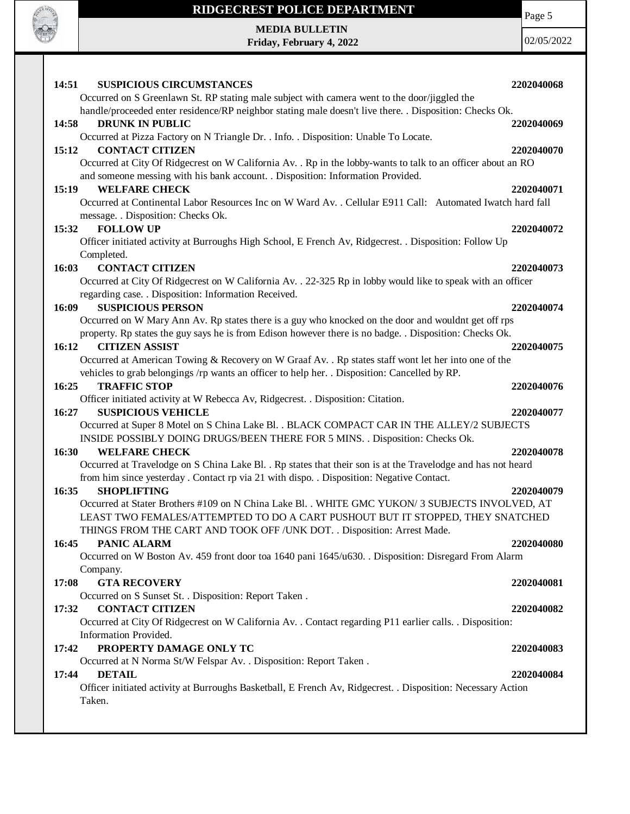

**MEDIA BULLETIN Friday, February 4, 2022** Page 5

| 14:51<br><b>SUSPICIOUS CIRCUMSTANCES</b>                                                                     | 2202040068 |
|--------------------------------------------------------------------------------------------------------------|------------|
| Occurred on S Greenlawn St. RP stating male subject with camera went to the door/jiggled the                 |            |
| handle/proceeded enter residence/RP neighbor stating male doesn't live there. . Disposition: Checks Ok.      |            |
| <b>DRUNK IN PUBLIC</b><br>14:58                                                                              | 2202040069 |
| Occurred at Pizza Factory on N Triangle Dr. . Info. . Disposition: Unable To Locate.                         |            |
| <b>CONTACT CITIZEN</b><br>15:12                                                                              | 2202040070 |
| Occurred at City Of Ridgecrest on W California Av. . Rp in the lobby-wants to talk to an officer about an RO |            |
| and someone messing with his bank account. . Disposition: Information Provided.                              |            |
| <b>WELFARE CHECK</b><br>15:19                                                                                | 2202040071 |
| Occurred at Continental Labor Resources Inc on W Ward Av. . Cellular E911 Call: Automated Iwatch hard fall   |            |
| message. . Disposition: Checks Ok.                                                                           |            |
| <b>FOLLOW UP</b><br>15:32                                                                                    | 2202040072 |
| Officer initiated activity at Burroughs High School, E French Av, Ridgecrest. . Disposition: Follow Up       |            |
| Completed.                                                                                                   |            |
| <b>CONTACT CITIZEN</b><br>16:03                                                                              | 2202040073 |
| Occurred at City Of Ridgecrest on W California Av. . 22-325 Rp in lobby would like to speak with an officer  |            |
| regarding case. . Disposition: Information Received.                                                         |            |
| 16:09<br><b>SUSPICIOUS PERSON</b>                                                                            | 2202040074 |
| Occurred on W Mary Ann Av. Rp states there is a guy who knocked on the door and wouldnt get off rps          |            |
| property. Rp states the guy says he is from Edison however there is no badge. . Disposition: Checks Ok.      |            |
| 16:12<br><b>CITIZEN ASSIST</b>                                                                               | 2202040075 |
| Occurred at American Towing & Recovery on W Graaf Av. . Rp states staff wont let her into one of the         |            |
| vehicles to grab belongings /rp wants an officer to help her. . Disposition: Cancelled by RP.                |            |
| <b>TRAFFIC STOP</b><br>16:25                                                                                 | 2202040076 |
| Officer initiated activity at W Rebecca Av, Ridgecrest. . Disposition: Citation.                             |            |
| <b>SUSPICIOUS VEHICLE</b><br>16:27                                                                           | 2202040077 |
| Occurred at Super 8 Motel on S China Lake Bl. . BLACK COMPACT CAR IN THE ALLEY/2 SUBJECTS                    |            |
| INSIDE POSSIBLY DOING DRUGS/BEEN THERE FOR 5 MINS. . Disposition: Checks Ok.                                 |            |
| 16:30<br><b>WELFARE CHECK</b>                                                                                | 2202040078 |
| Occurred at Travelodge on S China Lake Bl. . Rp states that their son is at the Travelodge and has not heard |            |
| from him since yesterday . Contact rp via 21 with dispo. . Disposition: Negative Contact.                    |            |
| 16:35<br><b>SHOPLIFTING</b>                                                                                  | 2202040079 |
| Occurred at Stater Brothers #109 on N China Lake Bl. . WHITE GMC YUKON/3 SUBJECTS INVOLVED, AT               |            |
| LEAST TWO FEMALES/ATTEMPTED TO DO A CART PUSHOUT BUT IT STOPPED, THEY SNATCHED                               |            |
| THINGS FROM THE CART AND TOOK OFF / UNK DOT. . Disposition: Arrest Made.                                     |            |
| 16:45<br>PANIC ALARM                                                                                         | 2202040080 |
| Occurred on W Boston Av. 459 front door toa 1640 pani 1645/u630. . Disposition: Disregard From Alarm         |            |
| Company.<br><b>GTA RECOVERY</b><br>17:08                                                                     | 2202040081 |
|                                                                                                              |            |
| Occurred on S Sunset St. . Disposition: Report Taken.<br><b>CONTACT CITIZEN</b><br>17:32                     | 2202040082 |
| Occurred at City Of Ridgecrest on W California Av. . Contact regarding P11 earlier calls. . Disposition:     |            |
| Information Provided.                                                                                        |            |
| PROPERTY DAMAGE ONLY TC<br>17:42                                                                             | 2202040083 |
| Occurred at N Norma St/W Felspar Av. . Disposition: Report Taken.                                            |            |
| <b>DETAIL</b><br>17:44                                                                                       | 2202040084 |
| Officer initiated activity at Burroughs Basketball, E French Av, Ridgecrest. . Disposition: Necessary Action |            |
| Taken.                                                                                                       |            |
|                                                                                                              |            |
|                                                                                                              |            |